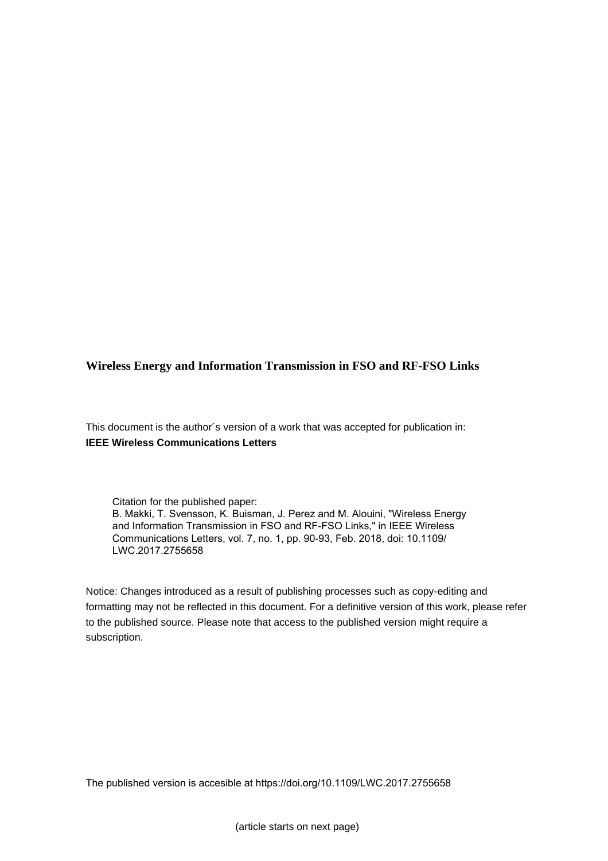# **Wireless Energy and Information Transmission in FSO and RF-FSO Links**

This document is the author´s version of a work that was accepted for publication in: **IEEE Wireless Communications Letters**

Citation for the published paper: B. Makki, T. Svensson, K. Buisman, J. Perez and M. Alouini, "Wireless Energy and Information Transmission in FSO and RF-FSO Links," in IEEE Wireless Communications Letters, vol. 7, no. 1, pp. 90-93, Feb. 2018, doi: 10.1109/ LWC.2017.2755658

Notice: Changes introduced as a result of publishing processes such as copy-editing and formatting may not be reflected in this document. For a definitive version of this work, please refer to the published source. Please note that access to the published version might require a subscription.

The published version is accesible at <https://doi.org/10.1109/LWC.2017.2755658>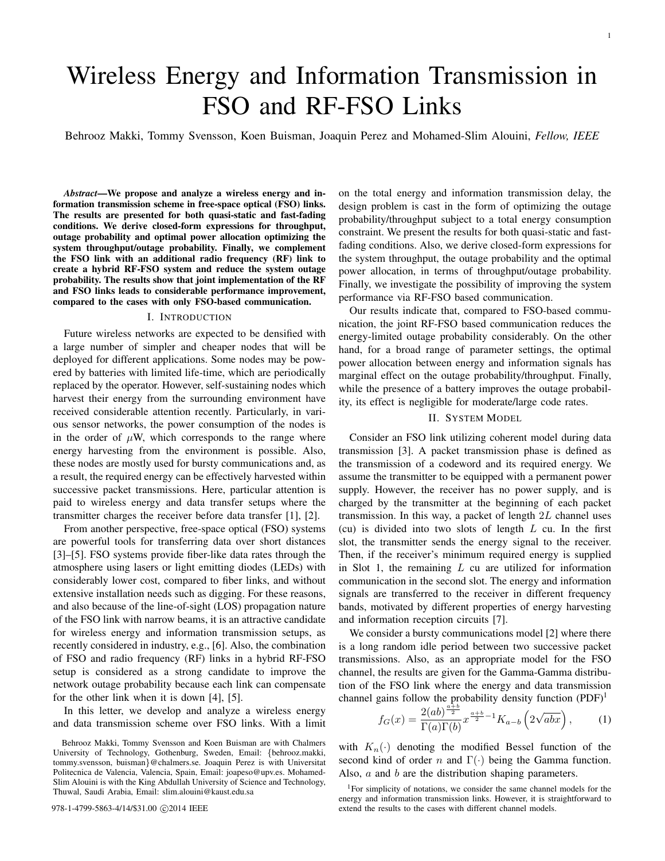# Wireless Energy and Information Transmission in FSO and RF-FSO Links

Behrooz Makki, Tommy Svensson, Koen Buisman, Joaquin Perez and Mohamed-Slim Alouini, *Fellow, IEEE*

*Abstract*—We propose and analyze a wireless energy and information transmission scheme in free-space optical (FSO) links. The results are presented for both quasi-static and fast-fading conditions. We derive closed-form expressions for throughput, outage probability and optimal power allocation optimizing the system throughput/outage probability. Finally, we complement the FSO link with an additional radio frequency (RF) link to create a hybrid RF-FSO system and reduce the system outage probability. The results show that joint implementation of the RF and FSO links leads to considerable performance improvement, compared to the cases with only FSO-based communication.

## I. INTRODUCTION

Future wireless networks are expected to be densified with a large number of simpler and cheaper nodes that will be deployed for different applications. Some nodes may be powered by batteries with limited life-time, which are periodically replaced by the operator. However, self-sustaining nodes which harvest their energy from the surrounding environment have received considerable attention recently. Particularly, in various sensor networks, the power consumption of the nodes is in the order of  $\mu$ W, which corresponds to the range where energy harvesting from the environment is possible. Also, these nodes are mostly used for bursty communications and, as a result, the required energy can be effectively harvested within successive packet transmissions. Here, particular attention is paid to wireless energy and data transfer setups where the transmitter charges the receiver before data transfer [1], [2].

From another perspective, free-space optical (FSO) systems are powerful tools for transferring data over short distances [3]–[5]. FSO systems provide fiber-like data rates through the atmosphere using lasers or light emitting diodes (LEDs) with considerably lower cost, compared to fiber links, and without extensive installation needs such as digging. For these reasons, and also because of the line-of-sight (LOS) propagation nature of the FSO link with narrow beams, it is an attractive candidate for wireless energy and information transmission setups, as recently considered in industry, e.g., [6]. Also, the combination of FSO and radio frequency (RF) links in a hybrid RF-FSO setup is considered as a strong candidate to improve the network outage probability because each link can compensate for the other link when it is down [4], [5].

In this letter, we develop and analyze a wireless energy and data transmission scheme over FSO links. With a limit on the total energy and information transmission delay, the design problem is cast in the form of optimizing the outage probability/throughput subject to a total energy consumption constraint. We present the results for both quasi-static and fastfading conditions. Also, we derive closed-form expressions for the system throughput, the outage probability and the optimal power allocation, in terms of throughput/outage probability. Finally, we investigate the possibility of improving the system performance via RF-FSO based communication.

Our results indicate that, compared to FSO-based communication, the joint RF-FSO based communication reduces the energy-limited outage probability considerably. On the other hand, for a broad range of parameter settings, the optimal power allocation between energy and information signals has marginal effect on the outage probability/throughput. Finally, while the presence of a battery improves the outage probability, its effect is negligible for moderate/large code rates.

## II. SYSTEM MODEL

Consider an FSO link utilizing coherent model during data transmission [3]. A packet transmission phase is defined as the transmission of a codeword and its required energy. We assume the transmitter to be equipped with a permanent power supply. However, the receiver has no power supply, and is charged by the transmitter at the beginning of each packet transmission. In this way, a packet of length  $2L$  channel uses (cu) is divided into two slots of length  $L$  cu. In the first slot, the transmitter sends the energy signal to the receiver. Then, if the receiver's minimum required energy is supplied in Slot 1, the remaining  $L$  cu are utilized for information communication in the second slot. The energy and information signals are transferred to the receiver in different frequency bands, motivated by different properties of energy harvesting and information reception circuits [7].

We consider a bursty communications model [2] where there is a long random idle period between two successive packet transmissions. Also, as an appropriate model for the FSO channel, the results are given for the Gamma-Gamma distribution of the FSO link where the energy and data transmission channel gains follow the probability density function  $(PDF)^{1}$ 

$$
f_G(x) = \frac{2(ab)^{\frac{a+b}{2}}}{\Gamma(a)\Gamma(b)} x^{\frac{a+b}{2}-1} K_{a-b}\left(2\sqrt{abx}\right),\tag{1}
$$

with  $K_n(\cdot)$  denoting the modified Bessel function of the second kind of order n and  $\Gamma(\cdot)$  being the Gamma function. Also, *a* and *b* are the distribution shaping parameters.

<sup>1</sup>For simplicity of notations, we consider the same channel models for the energy and information transmission links. However, it is straightforward to 978-1-4799-5863-4/14/\$31.00 C 2014 IEEE extend the results to the cases with different channel models.

Behrooz Makki, Tommy Svensson and Koen Buisman are with Chalmers University of Technology, Gothenburg, Sweden, Email: {behrooz.makki, tommy.svensson, buisman}[@chalmers.se. Jo](mailto:@chalmers.se)aquin Perez is with Universitat Politecnica de Valencia, Valencia, Spain, Email: [joapeso@upv.es. M](mailto:joapeso@upv.es)ohamed-Slim Alouini is with the King Abdullah University of Science and Technology, Thuwal, Saudi Arabia, Email: [slim.alouini@kaust.edu.sa](mailto:slim.alouini@kaust.edu.sa)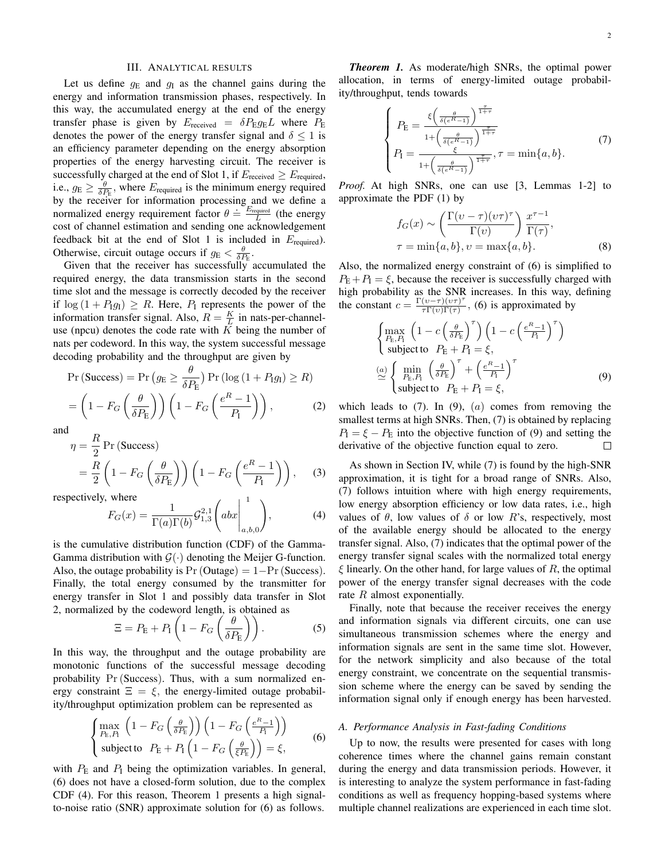#### III. ANALYTICAL RESULTS

Let us define  $g_E$  and  $g_I$  as the channel gains during the energy and information transmission phases, respectively. In this way, the accumulated energy at the end of the energy transfer phase is given by  $E_{\text{received}} = \delta P_{\text{E}} g_{\text{E}} L$  where  $P_{\text{E}}$ denotes the power of the energy transfer signal and  $\delta \leq 1$  is an efficiency parameter depending on the energy absorption properties of the energy harvesting circuit. The receiver is successfully charged at the end of Slot 1, if  $E_{\text{received}} \geq E_{\text{required}}$ , i.e.,  $g_E \ge \frac{\theta}{\delta P_E}$ , where  $E_{\text{required}}$  is the minimum energy required by the receiver for information processing and we define a normalized energy requirement factor  $\theta \doteq \frac{E_{\text{required}}}{L}$  (the energy cost of channel estimation and sending one acknowledgement feedback bit at the end of Slot 1 is included in  $E_{\text{required}}$ ). Otherwise, circuit outage occurs if  $g_{\text{E}} < \frac{\theta}{\delta P_{\text{E}}}$ .

Given that the receiver has successfully accumulated the required energy, the data transmission starts in the second time slot and the message is correctly decoded by the receiver if  $\log(1 + P_1 g_1) \ge R$ . Here,  $P_1$  represents the power of the information transfer signal. Also,  $R = \frac{K}{L}$  in nats-per-channeluse (npcu) denotes the code rate with  $K$  being the number of nats per codeword. In this way, the system successful message decoding probability and the throughput are given by

$$
\Pr\left(\text{Success}\right) = \Pr\left(g_E \ge \frac{\theta}{\delta P_E}\right) \Pr\left(\log\left(1 + P_1 g_1\right) \ge R\right)
$$
\n
$$
= \left(1 - F_G\left(\frac{\theta}{\delta P_E}\right)\right) \left(1 - F_G\left(\frac{e^R - 1}{P_1}\right)\right),\tag{2}
$$

and

$$
\eta = \frac{R}{2} \Pr(\text{Success})
$$
  
=  $\frac{R}{2} \left( 1 - F_G \left( \frac{\theta}{\delta P_E} \right) \right) \left( 1 - F_G \left( \frac{e^R - 1}{P_I} \right) \right),$  (3)

respectively, where

where  

$$
F_G(x) = \frac{1}{\Gamma(a)\Gamma(b)} \mathcal{G}_{1,3}^{2,1} \left( abx \Big|_{a,b,0}^{1} \right), \tag{4}
$$

is the cumulative distribution function (CDF) of the Gamma-Gamma distribution with  $G(\cdot)$  denoting the Meijer G-function. Also, the outage probability is  $Pr$  (Outage) = 1– $Pr$  (Success). Finally, the total energy consumed by the transmitter for energy transfer in Slot 1 and possibly data transfer in Slot 2, normalized by the codeword length, is obtained as

$$
\Xi = P_{\rm E} + P_{\rm I} \left( 1 - F_G \left( \frac{\theta}{\delta P_{\rm E}} \right) \right). \tag{5}
$$

In this way, the throughput and the outage probability are monotonic functions of the successful message decoding probability Pr (Success). Thus, with a sum normalized energy constraint  $\Xi = \xi$ , the energy-limited outage probability/throughput optimization problem can be represented as

$$
\begin{cases}\n\max_{P_{\rm E}, P_{\rm I}} \left(1 - F_G\left(\frac{\theta}{\delta P_{\rm E}}\right)\right) \left(1 - F_G\left(\frac{e^{R_{\rm -1}}}{P_{\rm I}}\right)\right) \\
\text{subject to} \quad P_{\rm E} + P_{\rm I}\left(1 - F_G\left(\frac{\theta}{\xi P_{\rm E}}\right)\right) = \xi,\n\end{cases} \tag{6}
$$

with  $P_{\text{E}}$  and  $P_{\text{I}}$  being the optimization variables. In general, (6) does not have a closed-form solution, due to the complex CDF (4). For this reason, Theorem 1 presents a high signalto-noise ratio (SNR) approximate solution for (6) as follows.

*Theorem 1.* As moderate/high SNRs, the optimal power allocation, in terms of energy-limited outage probability/throughput, tends towards

$$
\begin{cases}\nP_{\mathcal{E}} = \frac{\xi \left(\frac{\theta}{\delta(e^{R}-1)}\right)^{\frac{\tau}{1+\tau}}}{1 + \left(\frac{\theta}{\delta(e^{R}-1)}\right)^{\frac{\tau}{1+\tau}}}, \\
P_{\mathcal{I}} = \frac{\xi}{1 + \left(\frac{\theta}{\delta(e^{R}-1)}\right)^{\frac{\tau}{1+\tau}}}, \tau = \min\{a, b\}.\n\end{cases} (7)
$$

*Proof.* At high SNRs, one can use [3, Lemmas 1-2] to approximate the PDF (1) by

$$
f_G(x) \sim \left(\frac{\Gamma(\nu - \tau)(\nu \tau)^{\tau}}{\Gamma(\nu)}\right) \frac{x^{\tau - 1}}{\Gamma(\tau)},
$$
  

$$
\tau = \min\{a, b\}, \nu = \max\{a, b\}.
$$
 (8)

Also, the normalized energy constraint of (6) is simplified to  $P_{\rm E} + P_{\rm I} = \xi$ , because the receiver is successfully charged with high probability as the SNR increases. In this way, defining the constant  $c = \frac{\Gamma(v-\tau)(v\tau)^{\tau}}{\tau \Gamma(v)\Gamma(\tau)}$  $\frac{(v-\tau)(v+\tau)}{\tau\Gamma(v)\Gamma(\tau)}$ , (6) is approximated by

$$
\begin{cases}\n\max_{P_{\text{E}}, P_{\text{I}}} \left(1 - c \left(\frac{\theta}{\delta P_{\text{E}}}\right)^{\tau}\right) \left(1 - c \left(\frac{e^{R} - 1}{P_{\text{I}}}\right)^{\tau}\right) \\
\text{subject to} \quad P_{\text{E}} + P_{\text{I}} = \xi, \\
\stackrel{(a)}{\simeq} \left\{\n\min_{P_{\text{E}}, P_{\text{I}}} \left(\frac{\theta}{\delta P_{\text{E}}}\right)^{\tau} + \left(\frac{e^{R} - 1}{P_{\text{I}}}\right)^{\tau} \\
\text{subject to} \quad P_{\text{E}} + P_{\text{I}} = \xi,\n\end{cases} \tag{9}
$$

which leads to  $(7)$ . In  $(9)$ ,  $(a)$  comes from removing the smallest terms at high SNRs. Then, (7) is obtained by replacing  $P_{\rm I} = \xi - P_{\rm E}$  into the objective function of (9) and setting the derivative of the objective function equal to zero.  $\Box$ 

As shown in Section IV, while (7) is found by the high-SNR approximation, it is tight for a broad range of SNRs. Also, (7) follows intuition where with high energy requirements, low energy absorption efficiency or low data rates, i.e., high values of  $\theta$ , low values of  $\delta$  or low R's, respectively, most of the available energy should be allocated to the energy transfer signal. Also, (7) indicates that the optimal power of the energy transfer signal scales with the normalized total energy  $\xi$  linearly. On the other hand, for large values of  $R$ , the optimal power of the energy transfer signal decreases with the code rate  $R$  almost exponentially.

Finally, note that because the receiver receives the energy and information signals via different circuits, one can use simultaneous transmission schemes where the energy and information signals are sent in the same time slot. However, for the network simplicity and also because of the total energy constraint, we concentrate on the sequential transmission scheme where the energy can be saved by sending the information signal only if enough energy has been harvested.

#### *A. Performance Analysis in Fast-fading Conditions*

Up to now, the results were presented for cases with long coherence times where the channel gains remain constant during the energy and data transmission periods. However, it is interesting to analyze the system performance in fast-fading conditions as well as frequency hopping-based systems where multiple channel realizations are experienced in each time slot.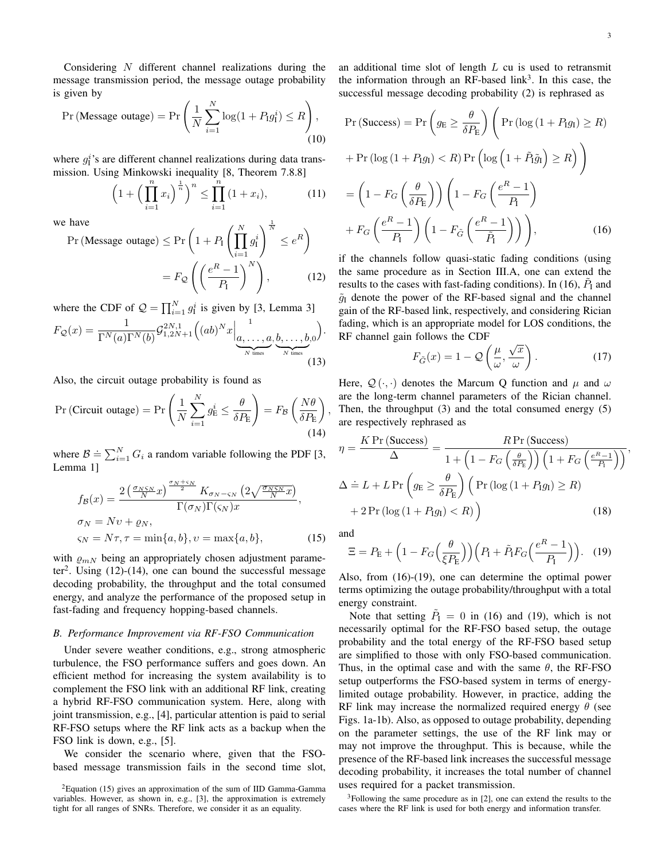Considering N different channel realizations during the message transmission period, the message outage probability is given by

$$
\Pr\left(\text{Message outage}\right) = \Pr\left(\frac{1}{N}\sum_{i=1}^{N}\log(1 + P_{\text{I}}g_{\text{I}}^{i}) \leq R\right),\tag{10}
$$

where  $g_{\rm I}^{i}$ 's are different channel realizations during data transmission. Using Minkowski inequality [8, Theorem 7.8.8]

$$
\left(1 + \left(\prod_{i=1}^{n} x_i\right)^{\frac{1}{n}}\right)^n \le \prod_{i=1}^{n} (1 + x_i),\tag{11}
$$

we have

$$
\begin{aligned} \text{Pr}\left(\text{Message outage}\right) &\leq \text{Pr}\left(1 + P_{\text{I}}\left(\prod_{i=1}^{N} g_{\text{I}}^{i}\right)^{\overline{N}} \leq e^{R}\right) \\ &= F_{\mathcal{Q}}\left(\left(\frac{e^{R} - 1}{P_{\text{I}}}\right)^{N}\right), \end{aligned} \tag{12}
$$

where the CDF of  $Q = \prod_{i=1}^{N} g_i^i$  is given by [3, Lemma 3]

$$
F_{\mathcal{Q}}(x) = \frac{1}{\Gamma^N(a)\Gamma^N(b)} \mathcal{G}_{1,2N+1}^{2N,1} \Big( (ab)^N x \Big|_{\substack{a,\ldots,a,\\N \text{ times}}} \underbrace{b,\ldots,b,0}_{N \text{ times}} \Big).
$$
\n(13)

Also, the circuit outage probability is found as

$$
\Pr\left(\text{Circuit outage}\right) = \Pr\left(\frac{1}{N} \sum_{i=1}^{N} g_{\text{E}}^{i} \le \frac{\theta}{\delta P_{\text{E}}}\right) = F_{\mathcal{B}}\left(\frac{N\theta}{\delta P_{\text{E}}}\right)
$$
\n(14)

where  $B = \sum_{i=1}^{N} G_i$  a random variable following the PDF [3, Lemma 1]

$$
f_{\mathcal{B}}(x) = \frac{2\left(\frac{\sigma_{NSN}}{N}x\right)^{\frac{\sigma_N + \varsigma_N}{2}} K_{\sigma_N - \varsigma_N} \left(2\sqrt{\frac{\sigma_{NSN}}{N}x}\right)}{\Gamma(\sigma_N)\Gamma(\varsigma_N)x},
$$
  
\n
$$
\sigma_N = Nv + \varrho_N,
$$
  
\n
$$
\varsigma_N = N\tau, \tau = \min\{a, b\}, v = \max\{a, b\},
$$
\n(15)

with  $\rho_{mN}$  being an appropriately chosen adjustment parameter<sup>2</sup>. Using  $(12)$ - $(14)$ , one can bound the successful message decoding probability, the throughput and the total consumed energy, and analyze the performance of the proposed setup in fast-fading and frequency hopping-based channels.

#### *B. Performance Improvement via RF-FSO Communication*

Under severe weather conditions, e.g., strong atmospheric turbulence, the FSO performance suffers and goes down. An efficient method for increasing the system availability is to complement the FSO link with an additional RF link, creating a hybrid RF-FSO communication system. Here, along with joint transmission, e.g., [4], particular attention is paid to serial RF-FSO setups where the RF link acts as a backup when the FSO link is down, e.g., [5].

We consider the scenario where, given that the FSObased message transmission fails in the second time slot, an additional time slot of length  $L$  cu is used to retransmit the information through an RF-based link<sup>3</sup>. In this case, the successful message decoding probability (2) is rephrased as

$$
\Pr\left(\text{Success}\right) = \Pr\left(g_{E} \geq \frac{\theta}{\delta P_{E}}\right) \left(\Pr\left(\log\left(1 + P_{1}g_{1}\right) \geq R\right) + \Pr\left(\log\left(1 + P_{1}g_{1}\right) < R\right) \Pr\left(\log\left(1 + \tilde{P}_{1}\tilde{g}_{1}\right) \geq R\right)\right)
$$
\n
$$
= \left(1 - F_{G}\left(\frac{\theta}{\delta P_{E}}\right)\right) \left(1 - F_{G}\left(\frac{e^{R} - 1}{P_{1}}\right) + F_{G}\left(\frac{e^{R} - 1}{P_{1}}\right)\left(1 - F_{\tilde{G}}\left(\frac{e^{R} - 1}{\tilde{P}_{1}}\right)\right)\right),\tag{16}
$$

if the channels follow quasi-static fading conditions (using the same procedure as in Section III.A, one can extend the results to the cases with fast-fading conditions). In (16),  $\tilde{P}_I$  and  $\tilde{g}_I$  denote the power of the RF-based signal and the channel gain of the RF-based link, respectively, and considering Rician fading, which is an appropriate model for LOS conditions, the RF channel gain follows the CDF √

$$
F_{\tilde{G}}(x) = 1 - \mathcal{Q}\left(\frac{\mu}{\omega}, \frac{\sqrt{x}}{\omega}\right). \tag{17}
$$

Here,  $Q(\cdot, \cdot)$  denotes the Marcum Q function and  $\mu$  and  $\omega$ are the long-term channel parameters of the Rician channel. Then, the throughput (3) and the total consumed energy (5) are respectively rephrased as

$$
\eta = \frac{K \Pr(\text{Success})}{\Delta} = \frac{R \Pr(\text{Success})}{1 + \left(1 - F_G\left(\frac{\theta}{\delta P_E}\right)\right) \left(1 + F_G\left(\frac{e^{R} - 1}{P_1}\right)\right)},
$$
  

$$
\Delta \doteq L + L \Pr\left(g_E \ge \frac{\theta}{\delta P_E}\right) \left(\Pr\left(\log\left(1 + P_1 g_1\right) \ge R\right)\right)
$$
  
+ 2 \Pr\left(\log\left(1 + P\_1 g\_1\right) < R\right) (18)

and

,

$$
\Xi = P_{\rm E} + \left(1 - F_G\left(\frac{\theta}{\xi P_{\rm E}}\right)\right) \left(P_{\rm I} + \tilde{P}_{\rm I} F_G\left(\frac{e^R - 1}{P_{\rm I}}\right)\right). \tag{19}
$$

Also, from (16)-(19), one can determine the optimal power terms optimizing the outage probability/throughput with a total energy constraint.

Note that setting  $\tilde{P}_1 = 0$  in (16) and (19), which is not necessarily optimal for the RF-FSO based setup, the outage probability and the total energy of the RF-FSO based setup are simplified to those with only FSO-based communication. Thus, in the optimal case and with the same  $\theta$ , the RF-FSO setup outperforms the FSO-based system in terms of energylimited outage probability. However, in practice, adding the RF link may increase the normalized required energy  $\theta$  (see Figs. 1a-1b). Also, as opposed to outage probability, depending on the parameter settings, the use of the RF link may or may not improve the throughput. This is because, while the presence of the RF-based link increases the successful message decoding probability, it increases the total number of channel uses required for a packet transmission.

 $3$ Following the same procedure as in [2], one can extend the results to the cases where the RF link is used for both energy and information transfer.

<sup>&</sup>lt;sup>2</sup>Equation (15) gives an approximation of the sum of IID Gamma-Gamma variables. However, as shown in, e.g., [3], the approximation is extremely tight for all ranges of SNRs. Therefore, we consider it as an equality.